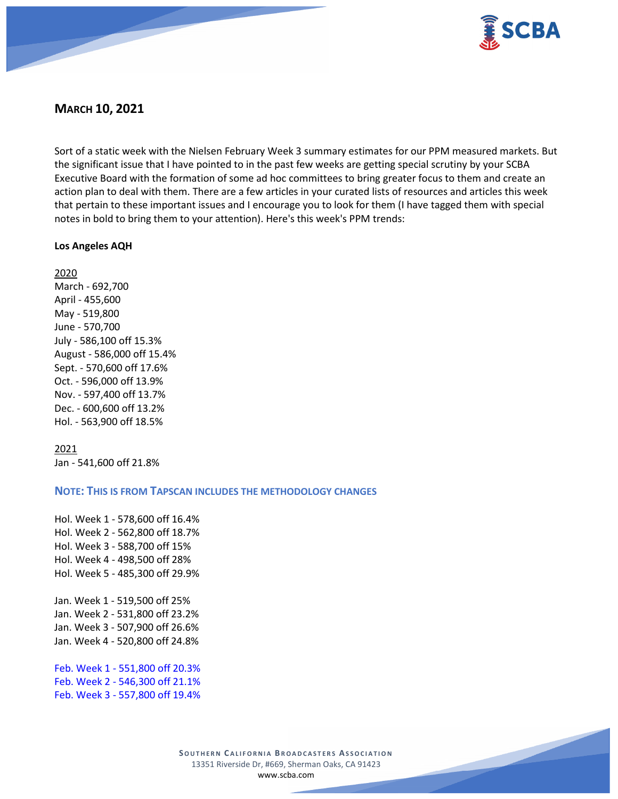

# **MARCH 10, 2021**

Sort of a static week with the Nielsen February Week 3 summary estimates for our PPM measured markets. But the significant issue that I have pointed to in the past few weeks are getting special scrutiny by your SCBA Executive Board with the formation of some ad hoc committees to bring greater focus to them and create an action plan to deal with them. There are a few articles in your curated lists of resources and articles this week that pertain to these important issues and I encourage you to look for them (I have tagged them with special notes in bold to bring them to your attention). Here's this week's PPM trends:

## **Los Angeles AQH**

2020

March - 692,700 April - 455,600 May - 519,800 June - 570,700 July - 586,100 off 15.3% August - 586,000 off 15.4% Sept. - 570,600 off 17.6% Oct. - 596,000 off 13.9% Nov. - 597,400 off 13.7% Dec. - 600,600 off 13.2% Hol. - 563,900 off 18.5%

2021 Jan - 541,600 off 21.8%

## **NOTE: THIS IS FROM TAPSCAN INCLUDES THE METHODOLOGY CHANGES**

Hol. Week 1 - 578,600 off 16.4% Hol. Week 2 - 562,800 off 18.7% Hol. Week 3 - 588,700 off 15% Hol. Week 4 - 498,500 off 28% Hol. Week 5 - 485,300 off 29.9% Jan. Week 1 - 519,500 off 25% Jan. Week 2 - 531,800 off 23.2% Jan. Week 3 - 507,900 off 26.6% Jan. Week 4 - 520,800 off 24.8% Feb. Week 1 - 551,800 off 20.3% Feb. Week 2 - 546,300 off 21.1%

Feb. Week 3 - 557,800 off 19.4%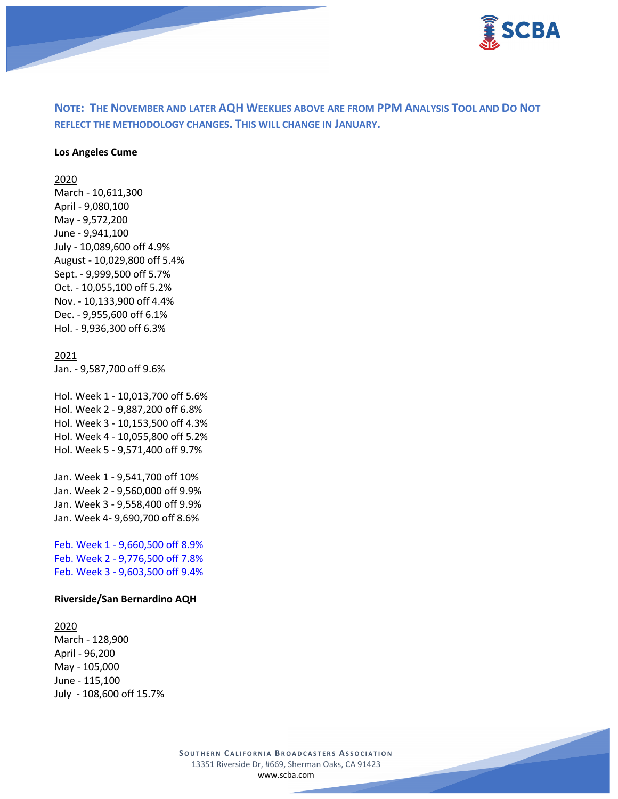

**NOTE: THE NOVEMBER AND LATER AQH WEEKLIES ABOVE ARE FROM PPM ANALYSIS TOOL AND DO NOT REFLECT THE METHODOLOGY CHANGES. THIS WILL CHANGE IN JANUARY.**

### **Los Angeles Cume**

2020

March - 10,611,300 April - 9,080,100 May - 9,572,200 June - 9,941,100 July - 10,089,600 off 4.9% August - 10,029,800 off 5.4% Sept. - 9,999,500 off 5.7% Oct. - 10,055,100 off 5.2% Nov. - 10,133,900 off 4.4% Dec. - 9,955,600 off 6.1% Hol. - 9,936,300 off 6.3%

### 2021

Jan. - 9,587,700 off 9.6%

Hol. Week 1 - 10,013,700 off 5.6% Hol. Week 2 - 9,887,200 off 6.8% Hol. Week 3 - 10,153,500 off 4.3% Hol. Week 4 - 10,055,800 off 5.2% Hol. Week 5 - 9,571,400 off 9.7%

Jan. Week 1 - 9,541,700 off 10% Jan. Week 2 - 9,560,000 off 9.9% Jan. Week 3 - 9,558,400 off 9.9% Jan. Week 4- 9,690,700 off 8.6%

Feb. Week 1 - 9,660,500 off 8.9% Feb. Week 2 - 9,776,500 off 7.8% Feb. Week 3 - 9,603,500 off 9.4%

#### **Riverside/San Bernardino AQH**

#### 2020

March - 128,900 April - 96,200 May - 105,000 June - 115,100 July - 108,600 off 15.7%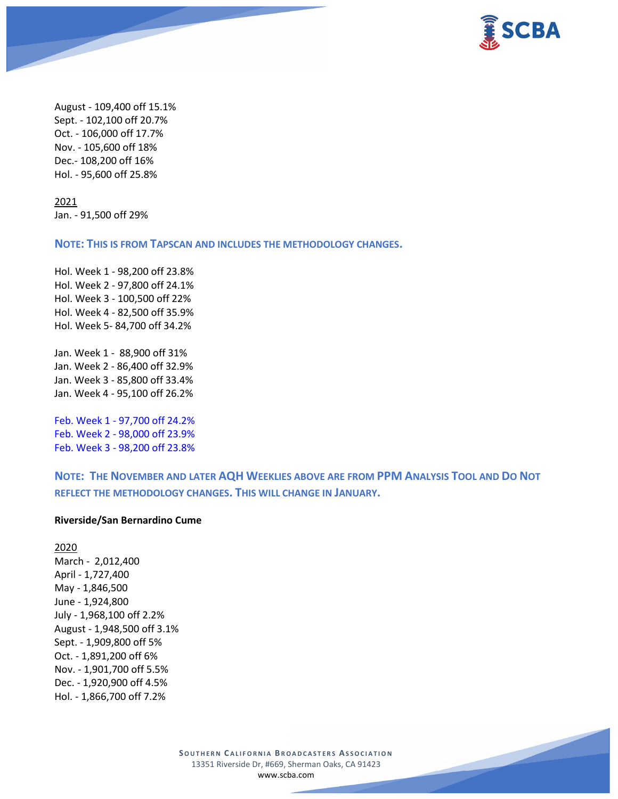

August - 109,400 off 15.1% Sept. - 102,100 off 20.7% Oct. - 106,000 off 17.7% Nov. - 105,600 off 18% Dec.- 108,200 off 16% Hol. - 95,600 off 25.8%

2021 Jan. - 91,500 off 29%

**NOTE: THIS IS FROM TAPSCAN AND INCLUDES THE METHODOLOGY CHANGES.** 

Hol. Week 1 - 98,200 off 23.8% Hol. Week 2 - 97,800 off 24.1% Hol. Week 3 - 100,500 off 22% Hol. Week 4 - 82,500 off 35.9% Hol. Week 5- 84,700 off 34.2% Jan. Week 1 - 88,900 off 31% Jan. Week 2 - 86,400 off 32.9% Jan. Week 3 - 85,800 off 33.4%

Feb. Week 1 - 97,700 off 24.2%

Jan. Week 4 - 95,100 off 26.2%

Feb. Week 2 - 98,000 off 23.9% Feb. Week 3 - 98,200 off 23.8%

**NOTE: THE NOVEMBER AND LATER AQH WEEKLIES ABOVE ARE FROM PPM ANALYSIS TOOL AND DO NOT REFLECT THE METHODOLOGY CHANGES. THIS WILL CHANGE IN JANUARY.**

### **Riverside/San Bernardino Cume**

2020 March - 2,012,400 April - 1,727,400 May - 1,846,500 June - 1,924,800 July - 1,968,100 off 2.2% August - 1,948,500 off 3.1% Sept. - 1,909,800 off 5% Oct. - 1,891,200 off 6% Nov. - 1,901,700 off 5.5% Dec. - 1,920,900 off 4.5% Hol. - 1,866,700 off 7.2%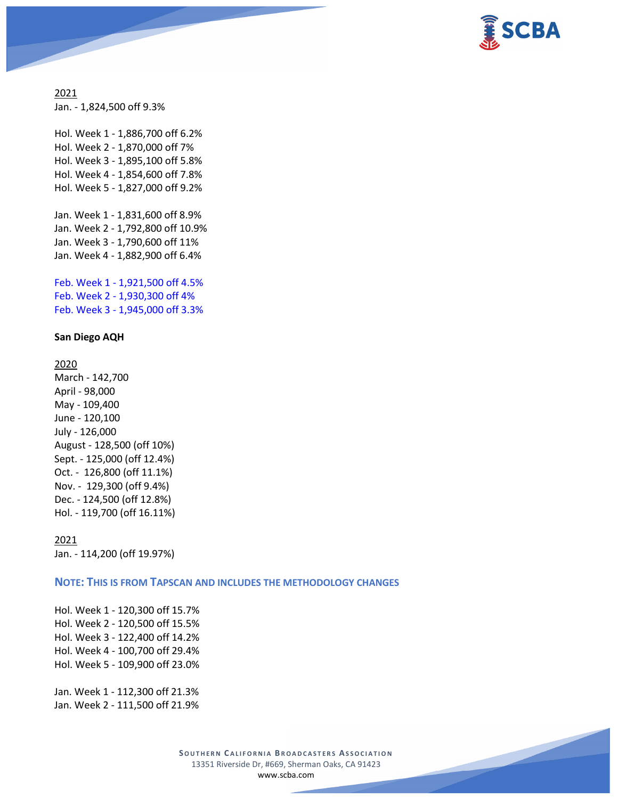

2021 Jan. - 1,824,500 off 9.3%

Hol. Week 1 - 1,886,700 off 6.2% Hol. Week 2 - 1,870,000 off 7% Hol. Week 3 - 1,895,100 off 5.8% Hol. Week 4 - 1,854,600 off 7.8% Hol. Week 5 - 1,827,000 off 9.2%

Jan. Week 1 - 1,831,600 off 8.9% Jan. Week 2 - 1,792,800 off 10.9% Jan. Week 3 - 1,790,600 off 11% Jan. Week 4 - 1,882,900 off 6.4%

Feb. Week 1 - 1,921,500 off 4.5% Feb. Week 2 - 1,930,300 off 4% Feb. Week 3 - 1,945,000 off 3.3%

#### **San Diego AQH**

2020 March - 142,700 April - 98,000 May - 109,400 June - 120,100 July - 126,000 August - 128,500 (off 10%) Sept. - 125,000 (off 12.4%) Oct. - 126,800 (off 11.1%) Nov. - 129,300 (off 9.4%) Dec. - 124,500 (off 12.8%) Hol. - 119,700 (off 16.11%)

2021 Jan. - 114,200 (off 19.97%)

**NOTE: THIS IS FROM TAPSCAN AND INCLUDES THE METHODOLOGY CHANGES** 

Hol. Week 1 - 120,300 off 15.7% Hol. Week 2 - 120,500 off 15.5% Hol. Week 3 - 122,400 off 14.2% Hol. Week 4 - 100,700 off 29.4% Hol. Week 5 - 109,900 off 23.0%

Jan. Week 1 - 112,300 off 21.3% Jan. Week 2 - 111,500 off 21.9%

> **SOUTHERN C ALIFORNIA B ROADCASTERS ASSOCIATION** 13351 Riverside Dr, #669, Sherman Oaks, CA 91423 [www.scba.com](http://www.scba.com/)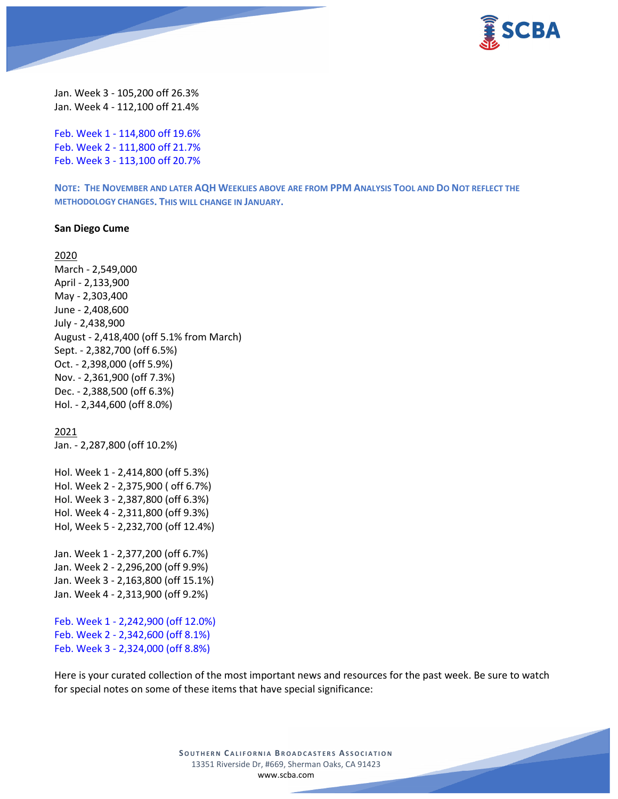

Jan. Week 3 - 105,200 off 26.3% Jan. Week 4 - 112,100 off 21.4%

Feb. Week 1 - 114,800 off 19.6% Feb. Week 2 - 111,800 off 21.7% Feb. Week 3 - 113,100 off 20.7%

**NOTE: THE NOVEMBER AND LATER AQH WEEKLIES ABOVE ARE FROM PPM ANALYSIS TOOL AND DO NOT REFLECT THE METHODOLOGY CHANGES. THIS WILL CHANGE IN JANUARY.**

#### **San Diego Cume**

2020 March - 2,549,000 April - 2,133,900 May - 2,303,400 June - 2,408,600 July - 2,438,900 August - 2,418,400 (off 5.1% from March) Sept. - 2,382,700 (off 6.5%) Oct. - 2,398,000 (off 5.9%) Nov. - 2,361,900 (off 7.3%) Dec. - 2,388,500 (off 6.3%) Hol. - 2,344,600 (off 8.0%)

2021

Jan. - 2,287,800 (off 10.2%)

Hol. Week 1 - 2,414,800 (off 5.3%) Hol. Week 2 - 2,375,900 ( off 6.7%) Hol. Week 3 - 2,387,800 (off 6.3%) Hol. Week 4 - 2,311,800 (off 9.3%) Hol, Week 5 - 2,232,700 (off 12.4%)

Jan. Week 1 - 2,377,200 (off 6.7%) Jan. Week 2 - 2,296,200 (off 9.9%) Jan. Week 3 - 2,163,800 (off 15.1%) Jan. Week 4 - 2,313,900 (off 9.2%)

Feb. Week 1 - 2,242,900 (off 12.0%) Feb. Week 2 - 2,342,600 (off 8.1%) Feb. Week 3 - 2,324,000 (off 8.8%)

Here is your curated collection of the most important news and resources for the past week. Be sure to watch for special notes on some of these items that have special significance: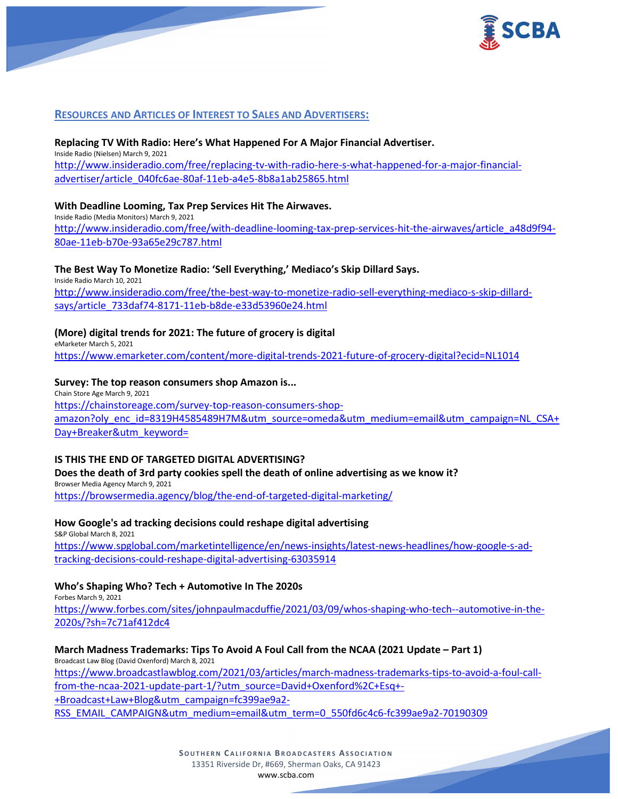

## **RESOURCES AND ARTICLES OF INTEREST TO SALES AND ADVERTISERS:**

### **Replacing TV With Radio: Here's What Happened For A Major Financial Advertiser.** Inside Radio (Nielsen) March 9, 2021 [http://www.insideradio.com/free/replacing-tv-with-radio-here-s-what-happened-for-a-major-financial](http://www.insideradio.com/free/replacing-tv-with-radio-here-s-what-happened-for-a-major-financial-advertiser/article_040fc6ae-80af-11eb-a4e5-8b8a1ab25865.html)[advertiser/article\\_040fc6ae-80af-11eb-a4e5-8b8a1ab25865.html](http://www.insideradio.com/free/replacing-tv-with-radio-here-s-what-happened-for-a-major-financial-advertiser/article_040fc6ae-80af-11eb-a4e5-8b8a1ab25865.html)

### **With Deadline Looming, Tax Prep Services Hit The Airwaves.**

Inside Radio (Media Monitors) March 9, 2021 [http://www.insideradio.com/free/with-deadline-looming-tax-prep-services-hit-the-airwaves/article\\_a48d9f94-](http://www.insideradio.com/free/with-deadline-looming-tax-prep-services-hit-the-airwaves/article_a48d9f94-80ae-11eb-b70e-93a65e29c787.html) [80ae-11eb-b70e-93a65e29c787.html](http://www.insideradio.com/free/with-deadline-looming-tax-prep-services-hit-the-airwaves/article_a48d9f94-80ae-11eb-b70e-93a65e29c787.html)

## **The Best Way To Monetize Radio: 'Sell Everything,' Mediaco's Skip Dillard Says.**

Inside Radio March 10, 2021 [http://www.insideradio.com/free/the-best-way-to-monetize-radio-sell-everything-mediaco-s-skip-dillard](http://www.insideradio.com/free/the-best-way-to-monetize-radio-sell-everything-mediaco-s-skip-dillard-says/article_733daf74-8171-11eb-b8de-e33d53960e24.html)[says/article\\_733daf74-8171-11eb-b8de-e33d53960e24.html](http://www.insideradio.com/free/the-best-way-to-monetize-radio-sell-everything-mediaco-s-skip-dillard-says/article_733daf74-8171-11eb-b8de-e33d53960e24.html)

## **(More) digital trends for 2021: The future of grocery is digital**

eMarketer March 5, 2021

<https://www.emarketer.com/content/more-digital-trends-2021-future-of-grocery-digital?ecid=NL1014>

### **Survey: The top reason consumers shop Amazon is...**

Chain Store Age March 9, 2021 [https://chainstoreage.com/survey-top-reason-consumers-shop](https://chainstoreage.com/survey-top-reason-consumers-shop-amazon?oly_enc_id=8319H4585489H7M&utm_source=omeda&utm_medium=email&utm_campaign=NL_CSA+Day+Breaker&utm_keyword=)[amazon?oly\\_enc\\_id=8319H4585489H7M&utm\\_source=omeda&utm\\_medium=email&utm\\_campaign=NL\\_CSA+](https://chainstoreage.com/survey-top-reason-consumers-shop-amazon?oly_enc_id=8319H4585489H7M&utm_source=omeda&utm_medium=email&utm_campaign=NL_CSA+Day+Breaker&utm_keyword=) [Day+Breaker&utm\\_keyword=](https://chainstoreage.com/survey-top-reason-consumers-shop-amazon?oly_enc_id=8319H4585489H7M&utm_source=omeda&utm_medium=email&utm_campaign=NL_CSA+Day+Breaker&utm_keyword=)

### **IS THIS THE END OF TARGETED DIGITAL ADVERTISING?**

**Does the death of 3rd party cookies spell the death of online advertising as we know it?** Browser Media Agency March 9, 2021

<https://browsermedia.agency/blog/the-end-of-targeted-digital-marketing/>

## **How Google's ad tracking decisions could reshape digital advertising**

S&P Global March 8, 2021 [https://www.spglobal.com/marketintelligence/en/news-insights/latest-news-headlines/how-google-s-ad](https://www.spglobal.com/marketintelligence/en/news-insights/latest-news-headlines/how-google-s-ad-tracking-decisions-could-reshape-digital-advertising-63035914)[tracking-decisions-could-reshape-digital-advertising-63035914](https://www.spglobal.com/marketintelligence/en/news-insights/latest-news-headlines/how-google-s-ad-tracking-decisions-could-reshape-digital-advertising-63035914)

### **Who's Shaping Who? Tech + Automotive In The 2020s**

Forbes March 9, 2021 [https://www.forbes.com/sites/johnpaulmacduffie/2021/03/09/whos-shaping-who-tech--automotive-in-the-](https://www.forbes.com/sites/johnpaulmacduffie/2021/03/09/whos-shaping-who-tech--automotive-in-the-2020s/?sh=7c71af412dc4)[2020s/?sh=7c71af412dc4](https://www.forbes.com/sites/johnpaulmacduffie/2021/03/09/whos-shaping-who-tech--automotive-in-the-2020s/?sh=7c71af412dc4)

## **March Madness Trademarks: Tips To Avoid A Foul Call from the NCAA (2021 Update – Part 1)** Broadcast Law Blog (David Oxenford) March 8, 2021 [https://www.broadcastlawblog.com/2021/03/articles/march-madness-trademarks-tips-to-avoid-a-foul-call](https://www.broadcastlawblog.com/2021/03/articles/march-madness-trademarks-tips-to-avoid-a-foul-call-from-the-ncaa-2021-update-part-1/?utm_source=David+Oxenford%2C+Esq+-+Broadcast+Law+Blog&utm_campaign=fc399ae9a2-RSS_EMAIL_CAMPAIGN&utm_medium=email&utm_term=0_550fd6c4c6-fc399ae9a2-70190309)[from-the-ncaa-2021-update-part-1/?utm\\_source=David+Oxenford%2C+Esq+-](https://www.broadcastlawblog.com/2021/03/articles/march-madness-trademarks-tips-to-avoid-a-foul-call-from-the-ncaa-2021-update-part-1/?utm_source=David+Oxenford%2C+Esq+-+Broadcast+Law+Blog&utm_campaign=fc399ae9a2-RSS_EMAIL_CAMPAIGN&utm_medium=email&utm_term=0_550fd6c4c6-fc399ae9a2-70190309) [+Broadcast+Law+Blog&utm\\_campaign=fc399ae9a2-](https://www.broadcastlawblog.com/2021/03/articles/march-madness-trademarks-tips-to-avoid-a-foul-call-from-the-ncaa-2021-update-part-1/?utm_source=David+Oxenford%2C+Esq+-+Broadcast+Law+Blog&utm_campaign=fc399ae9a2-RSS_EMAIL_CAMPAIGN&utm_medium=email&utm_term=0_550fd6c4c6-fc399ae9a2-70190309) [RSS\\_EMAIL\\_CAMPAIGN&utm\\_medium=email&utm\\_term=0\\_550fd6c4c6-fc399ae9a2-70190309](https://www.broadcastlawblog.com/2021/03/articles/march-madness-trademarks-tips-to-avoid-a-foul-call-from-the-ncaa-2021-update-part-1/?utm_source=David+Oxenford%2C+Esq+-+Broadcast+Law+Blog&utm_campaign=fc399ae9a2-RSS_EMAIL_CAMPAIGN&utm_medium=email&utm_term=0_550fd6c4c6-fc399ae9a2-70190309)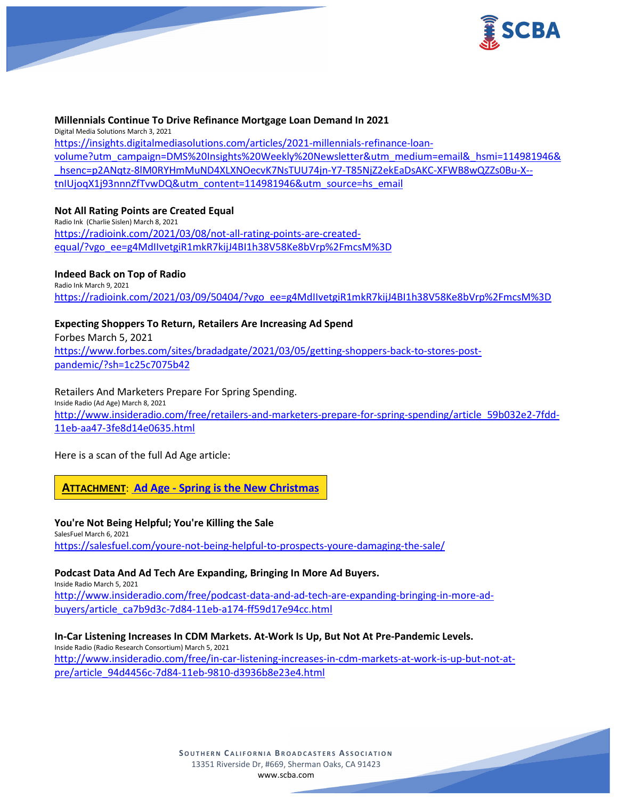

### **Millennials Continue To Drive Refinance Mortgage Loan Demand In 2021**

Digital Media Solutions March 3, 2021 [https://insights.digitalmediasolutions.com/articles/2021-millennials-refinance-loan](https://insights.digitalmediasolutions.com/articles/2021-millennials-refinance-loan-volume?utm_campaign=DMS%20Insights%20Weekly%20Newsletter&utm_medium=email&_hsmi=114981946&_hsenc=p2ANqtz-8lM0RYHmMuND4XLXNOecvK7NsTUU74jn-Y7-T85NjZ2ekEaDsAKC-XFWB8wQZZs0Bu-X--tnIUjoqX1j93nnnZfTvwDQ&utm_content=114981946&utm_source=hs_email)[volume?utm\\_campaign=DMS%20Insights%20Weekly%20Newsletter&utm\\_medium=email&\\_hsmi=114981946&](https://insights.digitalmediasolutions.com/articles/2021-millennials-refinance-loan-volume?utm_campaign=DMS%20Insights%20Weekly%20Newsletter&utm_medium=email&_hsmi=114981946&_hsenc=p2ANqtz-8lM0RYHmMuND4XLXNOecvK7NsTUU74jn-Y7-T85NjZ2ekEaDsAKC-XFWB8wQZZs0Bu-X--tnIUjoqX1j93nnnZfTvwDQ&utm_content=114981946&utm_source=hs_email) [\\_hsenc=p2ANqtz-8lM0RYHmMuND4XLXNOecvK7NsTUU74jn-Y7-T85NjZ2ekEaDsAKC-XFWB8wQZZs0Bu-X-](https://insights.digitalmediasolutions.com/articles/2021-millennials-refinance-loan-volume?utm_campaign=DMS%20Insights%20Weekly%20Newsletter&utm_medium=email&_hsmi=114981946&_hsenc=p2ANqtz-8lM0RYHmMuND4XLXNOecvK7NsTUU74jn-Y7-T85NjZ2ekEaDsAKC-XFWB8wQZZs0Bu-X--tnIUjoqX1j93nnnZfTvwDQ&utm_content=114981946&utm_source=hs_email) [tnIUjoqX1j93nnnZfTvwDQ&utm\\_content=114981946&utm\\_source=hs\\_email](https://insights.digitalmediasolutions.com/articles/2021-millennials-refinance-loan-volume?utm_campaign=DMS%20Insights%20Weekly%20Newsletter&utm_medium=email&_hsmi=114981946&_hsenc=p2ANqtz-8lM0RYHmMuND4XLXNOecvK7NsTUU74jn-Y7-T85NjZ2ekEaDsAKC-XFWB8wQZZs0Bu-X--tnIUjoqX1j93nnnZfTvwDQ&utm_content=114981946&utm_source=hs_email)

### **Not All Rating Points are Created Equal**

Radio Ink (Charlie Sislen) March 8, 2021 [https://radioink.com/2021/03/08/not-all-rating-points-are-created](https://radioink.com/2021/03/08/not-all-rating-points-are-created-equal/?vgo_ee=g4MdIIvetgiR1mkR7kijJ4BI1h38V58Ke8bVrp%2FmcsM%3D)[equal/?vgo\\_ee=g4MdIIvetgiR1mkR7kijJ4BI1h38V58Ke8bVrp%2FmcsM%3D](https://radioink.com/2021/03/08/not-all-rating-points-are-created-equal/?vgo_ee=g4MdIIvetgiR1mkR7kijJ4BI1h38V58Ke8bVrp%2FmcsM%3D)

## **Indeed Back on Top of Radio**

Radio Ink March 9, 2021 [https://radioink.com/2021/03/09/50404/?vgo\\_ee=g4MdIIvetgiR1mkR7kijJ4BI1h38V58Ke8bVrp%2FmcsM%3D](https://radioink.com/2021/03/09/50404/?vgo_ee=g4MdIIvetgiR1mkR7kijJ4BI1h38V58Ke8bVrp%2FmcsM%3D)

**Expecting Shoppers To Return, Retailers Are Increasing Ad Spend** Forbes March 5, 2021 [https://www.forbes.com/sites/bradadgate/2021/03/05/getting-shoppers-back-to-stores-post](https://www.forbes.com/sites/bradadgate/2021/03/05/getting-shoppers-back-to-stores-post-pandemic/?sh=1c25c7075b42)[pandemic/?sh=1c25c7075b42](https://www.forbes.com/sites/bradadgate/2021/03/05/getting-shoppers-back-to-stores-post-pandemic/?sh=1c25c7075b42)

Retailers And Marketers Prepare For Spring Spending. Inside Radio (Ad Age) March 8, 2021 [http://www.insideradio.com/free/retailers-and-marketers-prepare-for-spring-spending/article\\_59b032e2-7fdd-](http://www.insideradio.com/free/retailers-and-marketers-prepare-for-spring-spending/article_59b032e2-7fdd-11eb-aa47-3fe8d14e0635.html)[11eb-aa47-3fe8d14e0635.html](http://www.insideradio.com/free/retailers-and-marketers-prepare-for-spring-spending/article_59b032e2-7fdd-11eb-aa47-3fe8d14e0635.html)

Here is a scan of the full Ad Age article:

**ATTACHMENT**: **Ad Age - [Spring is the New Christmas](https://scba.com/ad-age-spring-is-the-new-christmas/)**

**You're Not Being Helpful; You're Killing the Sale** SalesFuel March 6, 2021 <https://salesfuel.com/youre-not-being-helpful-to-prospects-youre-damaging-the-sale/>

### **Podcast Data And Ad Tech Are Expanding, Bringing In More Ad Buyers.**

Inside Radio March 5, 2021 [http://www.insideradio.com/free/podcast-data-and-ad-tech-are-expanding-bringing-in-more-ad](http://www.insideradio.com/free/podcast-data-and-ad-tech-are-expanding-bringing-in-more-ad-buyers/article_ca7b9d3c-7d84-11eb-a174-ff59d17e94cc.html)[buyers/article\\_ca7b9d3c-7d84-11eb-a174-ff59d17e94cc.html](http://www.insideradio.com/free/podcast-data-and-ad-tech-are-expanding-bringing-in-more-ad-buyers/article_ca7b9d3c-7d84-11eb-a174-ff59d17e94cc.html)

**In-Car Listening Increases In CDM Markets. At-Work Is Up, But Not At Pre-Pandemic Levels.**

Inside Radio (Radio Research Consortium) March 5, 2021 [http://www.insideradio.com/free/in-car-listening-increases-in-cdm-markets-at-work-is-up-but-not-at](http://www.insideradio.com/free/in-car-listening-increases-in-cdm-markets-at-work-is-up-but-not-at-pre/article_94d4456c-7d84-11eb-9810-d3936b8e23e4.html)[pre/article\\_94d4456c-7d84-11eb-9810-d3936b8e23e4.html](http://www.insideradio.com/free/in-car-listening-increases-in-cdm-markets-at-work-is-up-but-not-at-pre/article_94d4456c-7d84-11eb-9810-d3936b8e23e4.html)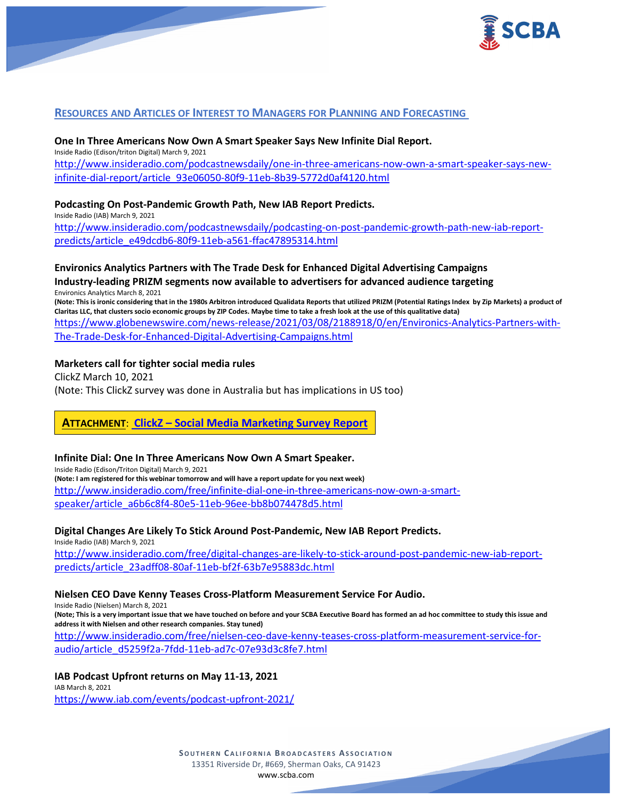

## **RESOURCES AND ARTICLES OF INTEREST TO MANAGERS FOR PLANNING AND FORECASTING**

### **One In Three Americans Now Own A Smart Speaker Says New Infinite Dial Report.**

Inside Radio (Edison/triton Digital) March 9, 2021 [http://www.insideradio.com/podcastnewsdaily/one-in-three-americans-now-own-a-smart-speaker-says-new](http://www.insideradio.com/podcastnewsdaily/one-in-three-americans-now-own-a-smart-speaker-says-new-infinite-dial-report/article_93e06050-80f9-11eb-8b39-5772d0af4120.html)[infinite-dial-report/article\\_93e06050-80f9-11eb-8b39-5772d0af4120.html](http://www.insideradio.com/podcastnewsdaily/one-in-three-americans-now-own-a-smart-speaker-says-new-infinite-dial-report/article_93e06050-80f9-11eb-8b39-5772d0af4120.html)

#### **Podcasting On Post-Pandemic Growth Path, New IAB Report Predicts.**

Inside Radio (IAB) March 9, 2021 [http://www.insideradio.com/podcastnewsdaily/podcasting-on-post-pandemic-growth-path-new-iab-report](http://www.insideradio.com/podcastnewsdaily/podcasting-on-post-pandemic-growth-path-new-iab-report-predicts/article_e49dcdb6-80f9-11eb-a561-ffac47895314.html)[predicts/article\\_e49dcdb6-80f9-11eb-a561-ffac47895314.html](http://www.insideradio.com/podcastnewsdaily/podcasting-on-post-pandemic-growth-path-new-iab-report-predicts/article_e49dcdb6-80f9-11eb-a561-ffac47895314.html)

## **Environics Analytics Partners with The Trade Desk for Enhanced Digital Advertising Campaigns Industry-leading PRIZM segments now available to advertisers for advanced audience targeting**

Environics Analytics March 8, 2021 **(Note: This is ironic considering that in the 1980s Arbitron introduced Qualidata Reports that utilized PRIZM (Potential Ratings Index by Zip Markets) a product of Claritas LLC, that clusters socio economic groups by ZIP Codes. Maybe time to take a fresh look at the use of this qualitative data)** [https://www.globenewswire.com/news-release/2021/03/08/2188918/0/en/Environics-Analytics-Partners-with-](https://www.globenewswire.com/news-release/2021/03/08/2188918/0/en/Environics-Analytics-Partners-with-The-Trade-Desk-for-Enhanced-Digital-Advertising-Campaigns.html)[The-Trade-Desk-for-Enhanced-Digital-Advertising-Campaigns.html](https://www.globenewswire.com/news-release/2021/03/08/2188918/0/en/Environics-Analytics-Partners-with-The-Trade-Desk-for-Enhanced-Digital-Advertising-Campaigns.html)

### **Marketers call for tighter social media rules**

ClickZ March 10, 2021 (Note: This ClickZ survey was done in Australia but has implications in US too)

**ATTACHMENT**: **ClickZ – [Social Media Marketing Survey Report](https://scba.com/clickz_social-media-marketing_survey_report/)**

#### **Infinite Dial: One In Three Americans Now Own A Smart Speaker.**

Inside Radio (Edison/Triton Digital) March 9, 2021 **(Note: I am registered for this webinar tomorrow and will have a report update for you next week)** [http://www.insideradio.com/free/infinite-dial-one-in-three-americans-now-own-a-smart](http://www.insideradio.com/free/infinite-dial-one-in-three-americans-now-own-a-smart-speaker/article_a6b6c8f4-80e5-11eb-96ee-bb8b074478d5.html)[speaker/article\\_a6b6c8f4-80e5-11eb-96ee-bb8b074478d5.html](http://www.insideradio.com/free/infinite-dial-one-in-three-americans-now-own-a-smart-speaker/article_a6b6c8f4-80e5-11eb-96ee-bb8b074478d5.html)

**Digital Changes Are Likely To Stick Around Post-Pandemic, New IAB Report Predicts.**

Inside Radio (IAB) March 9, 2021

[http://www.insideradio.com/free/digital-changes-are-likely-to-stick-around-post-pandemic-new-iab-report](http://www.insideradio.com/free/digital-changes-are-likely-to-stick-around-post-pandemic-new-iab-report-predicts/article_23adff08-80af-11eb-bf2f-63b7e95883dc.html)[predicts/article\\_23adff08-80af-11eb-bf2f-63b7e95883dc.html](http://www.insideradio.com/free/digital-changes-are-likely-to-stick-around-post-pandemic-new-iab-report-predicts/article_23adff08-80af-11eb-bf2f-63b7e95883dc.html)

#### **Nielsen CEO Dave Kenny Teases Cross-Platform Measurement Service For Audio.**

Inside Radio (Nielsen) March 8, 2021

**(Note; This is a very important issue that we have touched on before and your SCBA Executive Board has formed an ad hoc committee to study this issue and address it with Nielsen and other research companies. Stay tuned)**

[http://www.insideradio.com/free/nielsen-ceo-dave-kenny-teases-cross-platform-measurement-service-for](http://www.insideradio.com/free/nielsen-ceo-dave-kenny-teases-cross-platform-measurement-service-for-audio/article_d5259f2a-7fdd-11eb-ad7c-07e93d3c8fe7.html)[audio/article\\_d5259f2a-7fdd-11eb-ad7c-07e93d3c8fe7.html](http://www.insideradio.com/free/nielsen-ceo-dave-kenny-teases-cross-platform-measurement-service-for-audio/article_d5259f2a-7fdd-11eb-ad7c-07e93d3c8fe7.html)

## **IAB Podcast Upfront returns on May 11-13, 2021**

IAB March 8, 2021 <https://www.iab.com/events/podcast-upfront-2021/>

> **SOUTHERN C ALIFORNIA B ROADCASTERS ASSOCIATION** 13351 Riverside Dr, #669, Sherman Oaks, CA 91423 [www.scba.com](http://www.scba.com/)